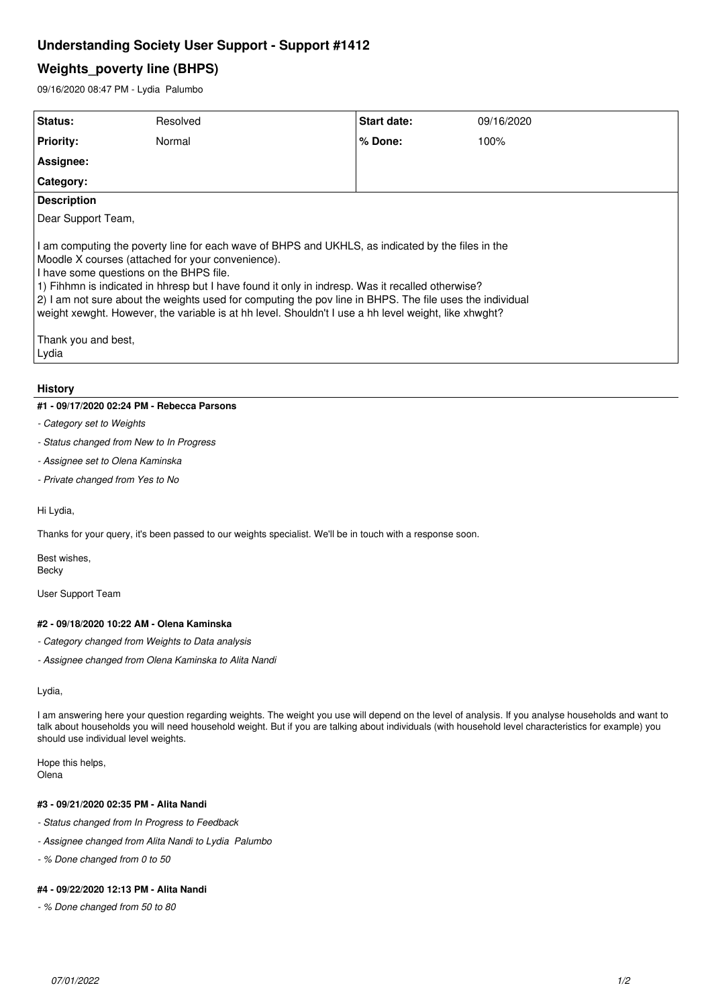## **Understanding Society User Support - Support #1412**

# **Weights\_poverty line (BHPS)**

09/16/2020 08:47 PM - Lydia Palumbo

| Status:                                                                                                                                                                                                                                                                                                                                                                                                                                                                                                                                                   | Resolved | Start date: | 09/16/2020 |
|-----------------------------------------------------------------------------------------------------------------------------------------------------------------------------------------------------------------------------------------------------------------------------------------------------------------------------------------------------------------------------------------------------------------------------------------------------------------------------------------------------------------------------------------------------------|----------|-------------|------------|
| <b>Priority:</b>                                                                                                                                                                                                                                                                                                                                                                                                                                                                                                                                          | Normal   | $%$ Done:   | 100%       |
| Assignee:                                                                                                                                                                                                                                                                                                                                                                                                                                                                                                                                                 |          |             |            |
| Category:                                                                                                                                                                                                                                                                                                                                                                                                                                                                                                                                                 |          |             |            |
| <b>Description</b>                                                                                                                                                                                                                                                                                                                                                                                                                                                                                                                                        |          |             |            |
| Dear Support Team,                                                                                                                                                                                                                                                                                                                                                                                                                                                                                                                                        |          |             |            |
| I am computing the poverty line for each wave of BHPS and UKHLS, as indicated by the files in the<br>Moodle X courses (attached for your convenience).<br>I have some questions on the BHPS file.<br>1) Fihhmn is indicated in hhresp but I have found it only in indresp. Was it recalled otherwise?<br>2) I am not sure about the weights used for computing the pov line in BHPS. The file uses the individual<br>weight xewght. However, the variable is at hh level. Shouldn't I use a hh level weight, like xhwght?<br>Thank you and best,<br>Lydia |          |             |            |

### **History**

## **#1 - 09/17/2020 02:24 PM - Rebecca Parsons**

- *Category set to Weights*
- *Status changed from New to In Progress*
- *Assignee set to Olena Kaminska*
- *Private changed from Yes to No*

### Hi Lydia,

Thanks for your query, it's been passed to our weights specialist. We'll be in touch with a response soon.

Best wishes, Becky

User Support Team

## **#2 - 09/18/2020 10:22 AM - Olena Kaminska**

- *Category changed from Weights to Data analysis*
- *Assignee changed from Olena Kaminska to Alita Nandi*

Lydia,

I am answering here your question regarding weights. The weight you use will depend on the level of analysis. If you analyse households and want to talk about households you will need household weight. But if you are talking about individuals (with household level characteristics for example) you should use individual level weights.

Hope this helps, Olena

## **#3 - 09/21/2020 02:35 PM - Alita Nandi**

- *Status changed from In Progress to Feedback*
- *Assignee changed from Alita Nandi to Lydia Palumbo*
- *% Done changed from 0 to 50*

## **#4 - 09/22/2020 12:13 PM - Alita Nandi**

*- % Done changed from 50 to 80*